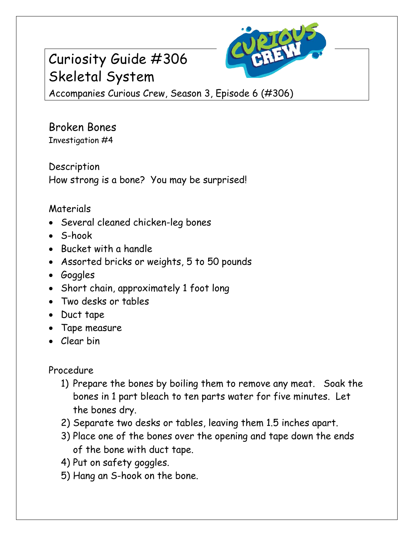## Curiosity Guide #306 Skeletal System



Accompanies Curious Crew, Season 3, Episode 6 (#306)

Broken Bones Investigation #4

Description How strong is a bone? You may be surprised!

## Materials

- Several cleaned chicken-leg bones
- S-hook
- Bucket with a handle
- Assorted bricks or weights, 5 to 50 pounds
- Goggles
- Short chain, approximately 1 foot long
- Two desks or tables
- Duct tape
- Tape measure
- Clear bin

Procedure

- 1) Prepare the bones by boiling them to remove any meat. Soak the bones in 1 part bleach to ten parts water for five minutes. Let the bones dry.
- 2) Separate two desks or tables, leaving them 1.5 inches apart.
- 3) Place one of the bones over the opening and tape down the ends of the bone with duct tape.
- 4) Put on safety goggles.
- 5) Hang an S-hook on the bone.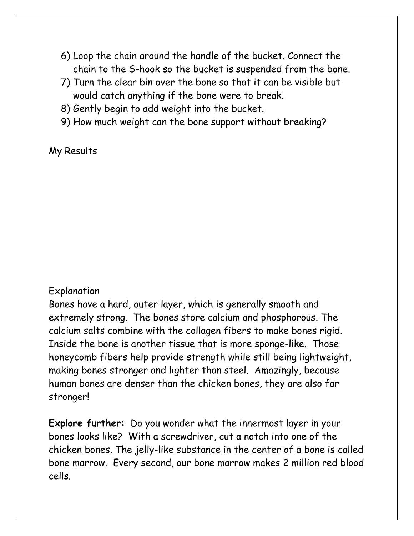- 6) Loop the chain around the handle of the bucket. Connect the chain to the S-hook so the bucket is suspended from the bone.
- 7) Turn the clear bin over the bone so that it can be visible but would catch anything if the bone were to break.
- 8) Gently begin to add weight into the bucket.
- 9) How much weight can the bone support without breaking?

## My Results

## Explanation

Bones have a hard, outer layer, which is generally smooth and extremely strong. The bones store calcium and phosphorous. The calcium salts combine with the collagen fibers to make bones rigid. Inside the bone is another tissue that is more sponge-like. Those honeycomb fibers help provide strength while still being lightweight, making bones stronger and lighter than steel. Amazingly, because human bones are denser than the chicken bones, they are also far stronger!

**Explore further:** Do you wonder what the innermost layer in your bones looks like? With a screwdriver, cut a notch into one of the chicken bones. The jelly-like substance in the center of a bone is called bone marrow. Every second, our bone marrow makes 2 million red blood cells.